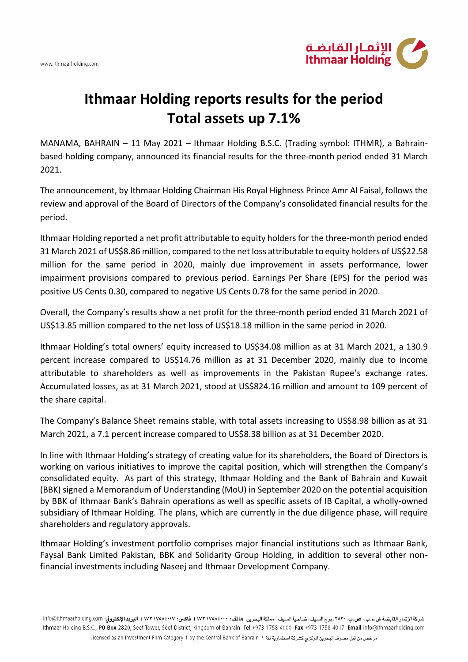

## **Ithmaar Holding reports results for the period Total assets up 7.1%**

MANAMA, BAHRAIN – 11 May 2021 – Ithmaar Holding B.S.C. (Trading symbol: ITHMR), a Bahrainbased holding company, announced its financial results for the three-month period ended 31 March 2021.

The announcement, by Ithmaar Holding Chairman His Royal Highness Prince Amr Al Faisal, follows the review and approval of the Board of Directors of the Company's consolidated financial results for the period.

Ithmaar Holding reported a net profit attributable to equity holders for the three-month period ended 31 March 2021 of US\$8.86 million, compared to the net loss attributable to equity holders of US\$22.58 million for the same period in 2020, mainly due improvement in assets performance, lower impairment provisions compared to previous period. Earnings Per Share (EPS) for the period was positive US Cents 0.30, compared to negative US Cents 0.78 for the same period in 2020.

Overall, the Company's results show a net profit for the three-month period ended 31 March 2021 of US\$13.85 million compared to the net loss of US\$18.18 million in the same period in 2020.

Ithmaar Holding's total owners' equity increased to US\$34.08 million as at 31 March 2021, a 130.9 percent increase compared to US\$14.76 million as at 31 December 2020, mainly due to income attributable to shareholders as well as improvements in the Pakistan Rupee's exchange rates. Accumulated losses, as at 31 March 2021, stood at US\$824.16 million and amount to 109 percent of the share capital.

The Company's Balance Sheet remains stable, with total assets increasing to US\$8.98 billion as at 31 March 2021, a 7.1 percent increase compared to US\$8.38 billion as at 31 December 2020.

In line with Ithmaar Holding's strategy of creating value for its shareholders, the Board of Directors is working on various initiatives to improve the capital position, which will strengthen the Company's consolidated equity. As part of this strategy, Ithmaar Holding and the Bank of Bahrain and Kuwait (BBK) signed a Memorandum of Understanding (MoU) in September 2020 on the potential acquisition by BBK of Ithmaar Bank's Bahrain operations as well as specific assets of IB Capital, a wholly-owned subsidiary of Ithmaar Holding. The plans, which are currently in the due diligence phase, will require shareholders and regulatory approvals.

Ithmaar Holding's investment portfolio comprises major financial institutions such as Ithmaar Bank, Faysal Bank Limited Pakistan, BBK and Solidarity Group Holding, in addition to several other nonfinancial investments including Naseej and Ithmaar Development Company.